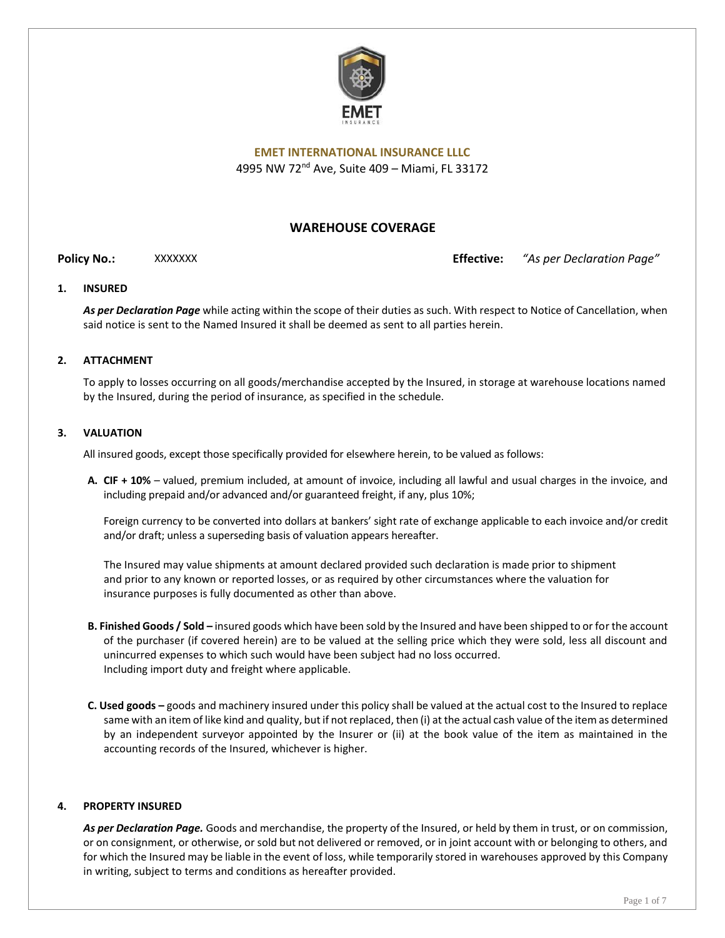

# **WAREHOUSE COVERAGE**

**Policy No.:** XXXXXXX **Effective:** *"As per Declaration Page"*

# **1. INSURED**

*As per Declaration Page* while acting within the scope of their duties as such. With respect to Notice of Cancellation, when said notice is sent to the Named Insured it shall be deemed as sent to all parties herein.

# **2. ATTACHMENT**

To apply to losses occurring on all goods/merchandise accepted by the Insured, in storage at warehouse locations named by the Insured, during the period of insurance, as specified in the schedule.

#### **3. VALUATION**

All insured goods, except those specifically provided for elsewhere herein, to be valued as follows:

**A. CIF + 10%** – valued, premium included, at amount of invoice, including all lawful and usual charges in the invoice, and including prepaid and/or advanced and/or guaranteed freight, if any, plus 10%;

Foreign currency to be converted into dollars at bankers' sight rate of exchange applicable to each invoice and/or credit and/or draft; unless a superseding basis of valuation appears hereafter.

The Insured may value shipments at amount declared provided such declaration is made prior to shipment and prior to any known or reported losses, or as required by other circumstances where the valuation for insurance purposes is fully documented as other than above.

- **B. Finished Goods / Sold –** insured goods which have been sold by the Insured and have been shipped to or for the account of the purchaser (if covered herein) are to be valued at the selling price which they were sold, less all discount and unincurred expenses to which such would have been subject had no loss occurred. Including import duty and freight where applicable.
- **C. Used goods –** goods and machinery insured under this policy shall be valued at the actual cost to the Insured to replace same with an item of like kind and quality, but if not replaced, then (i) at the actual cash value of the item as determined by an independent surveyor appointed by the Insurer or (ii) at the book value of the item as maintained in the accounting records of the Insured, whichever is higher.

#### **4. PROPERTY INSURED**

*As per Declaration Page.* Goods and merchandise, the property of the Insured, or held by them in trust, or on commission, or on consignment, or otherwise, or sold but not delivered or removed, or in joint account with or belonging to others, and for which the Insured may be liable in the event of loss, while temporarily stored in warehouses approved by this Company in writing, subject to terms and conditions as hereafter provided.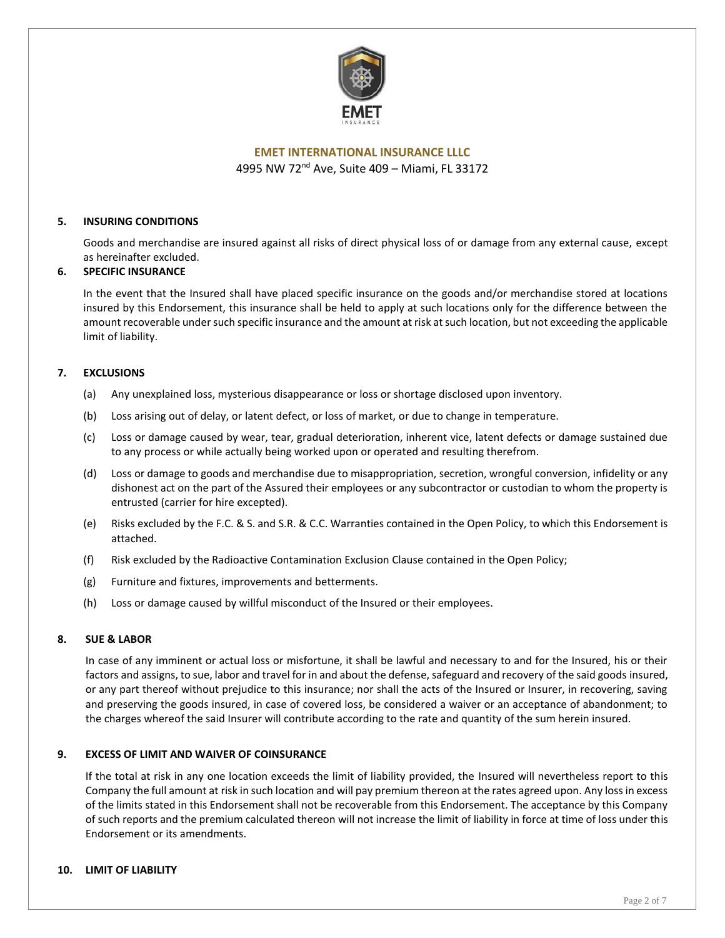

# **5. INSURING CONDITIONS**

Goods and merchandise are insured against all risks of direct physical loss of or damage from any external cause, except as hereinafter excluded.

# **6. SPECIFIC INSURANCE**

In the event that the Insured shall have placed specific insurance on the goods and/or merchandise stored at locations insured by this Endorsement, this insurance shall be held to apply at such locations only for the difference between the amount recoverable under such specific insurance and the amount at risk at such location, but not exceeding the applicable limit of liability.

#### **7. EXCLUSIONS**

- (a) Any unexplained loss, mysterious disappearance or loss or shortage disclosed upon inventory.
- (b) Loss arising out of delay, or latent defect, or loss of market, or due to change in temperature.
- (c) Loss or damage caused by wear, tear, gradual deterioration, inherent vice, latent defects or damage sustained due to any process or while actually being worked upon or operated and resulting therefrom.
- (d) Loss or damage to goods and merchandise due to misappropriation, secretion, wrongful conversion, infidelity or any dishonest act on the part of the Assured their employees or any subcontractor or custodian to whom the property is entrusted (carrier for hire excepted).
- (e) Risks excluded by the F.C. & S. and S.R. & C.C. Warranties contained in the Open Policy, to which this Endorsement is attached.
- (f) Risk excluded by the Radioactive Contamination Exclusion Clause contained in the Open Policy;
- (g) Furniture and fixtures, improvements and betterments.
- (h) Loss or damage caused by willful misconduct of the Insured or their employees.

#### **8. SUE & LABOR**

In case of any imminent or actual loss or misfortune, it shall be lawful and necessary to and for the Insured, his or their factors and assigns, to sue, labor and travel for in and about the defense, safeguard and recovery of the said goods insured, or any part thereof without prejudice to this insurance; nor shall the acts of the Insured or Insurer, in recovering, saving and preserving the goods insured, in case of covered loss, be considered a waiver or an acceptance of abandonment; to the charges whereof the said Insurer will contribute according to the rate and quantity of the sum herein insured.

#### **9. EXCESS OF LIMIT AND WAIVER OF COINSURANCE**

If the total at risk in any one location exceeds the limit of liability provided, the Insured will nevertheless report to this Company the full amount at risk in such location and will pay premium thereon at the rates agreed upon. Any loss in excess of the limits stated in this Endorsement shall not be recoverable from this Endorsement. The acceptance by this Company of such reports and the premium calculated thereon will not increase the limit of liability in force at time of loss under this Endorsement or its amendments.

# **10. LIMIT OF LIABILITY**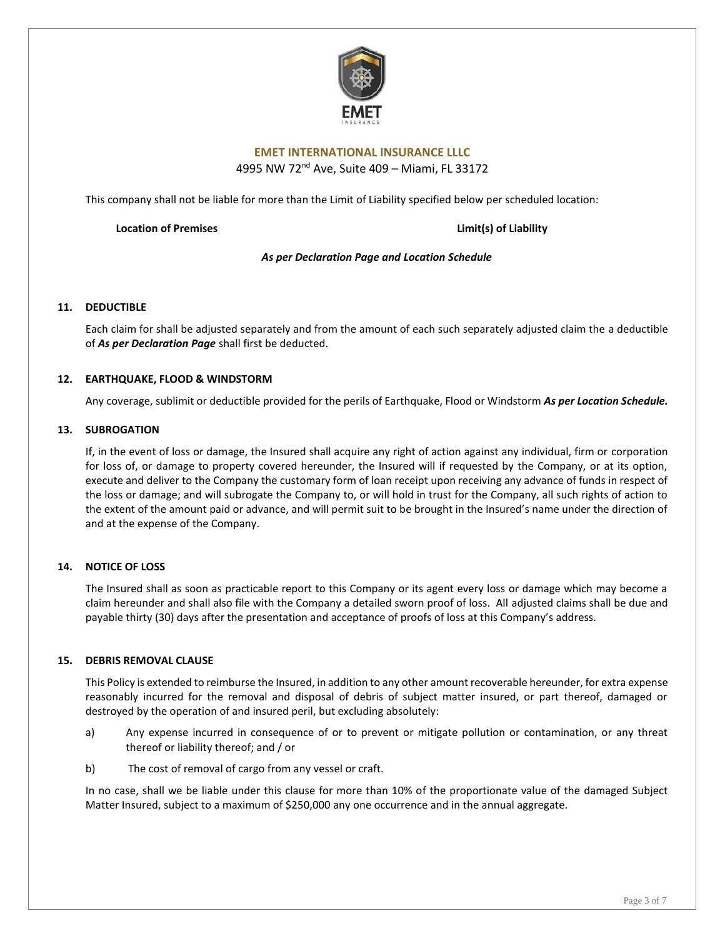

# **EMET INTERNATIONAL INSURANCE LLLC**

4995 NW 72nd Ave, Suite 409 – Miami, FL 33172

This company shall not be liable for more than the Limit of Liability specified below per scheduled location:

**Location of Premises Limit(s) of Liability**

*As per Declaration Page and Location Schedule*

### **11. DEDUCTIBLE**

Each claim for shall be adjusted separately and from the amount of each such separately adjusted claim the a deductible of *As per Declaration Page* shall first be deducted.

#### **12. EARTHQUAKE, FLOOD & WINDSTORM**

Any coverage, sublimit or deductible provided for the perils of Earthquake, Flood or Windstorm *As per Location Schedule.*

#### **13. SUBROGATION**

If, in the event of loss or damage, the Insured shall acquire any right of action against any individual, firm or corporation for loss of, or damage to property covered hereunder, the Insured will if requested by the Company, or at its option, execute and deliver to the Company the customary form of loan receipt upon receiving any advance of funds in respect of the loss or damage; and will subrogate the Company to, or will hold in trust for the Company, all such rights of action to the extent of the amount paid or advance, and will permit suit to be brought in the Insured's name under the direction of and at the expense of the Company.

#### **14. NOTICE OF LOSS**

The Insured shall as soon as practicable report to this Company or its agent every loss or damage which may become a claim hereunder and shall also file with the Company a detailed sworn proof of loss. All adjusted claims shall be due and payable thirty (30) days after the presentation and acceptance of proofs of loss at this Company's address.

#### **15. DEBRIS REMOVAL CLAUSE**

This Policy is extended to reimburse the Insured, in addition to any other amount recoverable hereunder, for extra expense reasonably incurred for the removal and disposal of debris of subject matter insured, or part thereof, damaged or destroyed by the operation of and insured peril, but excluding absolutely:

- a) Any expense incurred in consequence of or to prevent or mitigate pollution or contamination, or any threat thereof or liability thereof; and / or
- b) The cost of removal of cargo from any vessel or craft.

In no case, shall we be liable under this clause for more than 10% of the proportionate value of the damaged Subject Matter Insured, subject to a maximum of \$250,000 any one occurrence and in the annual aggregate.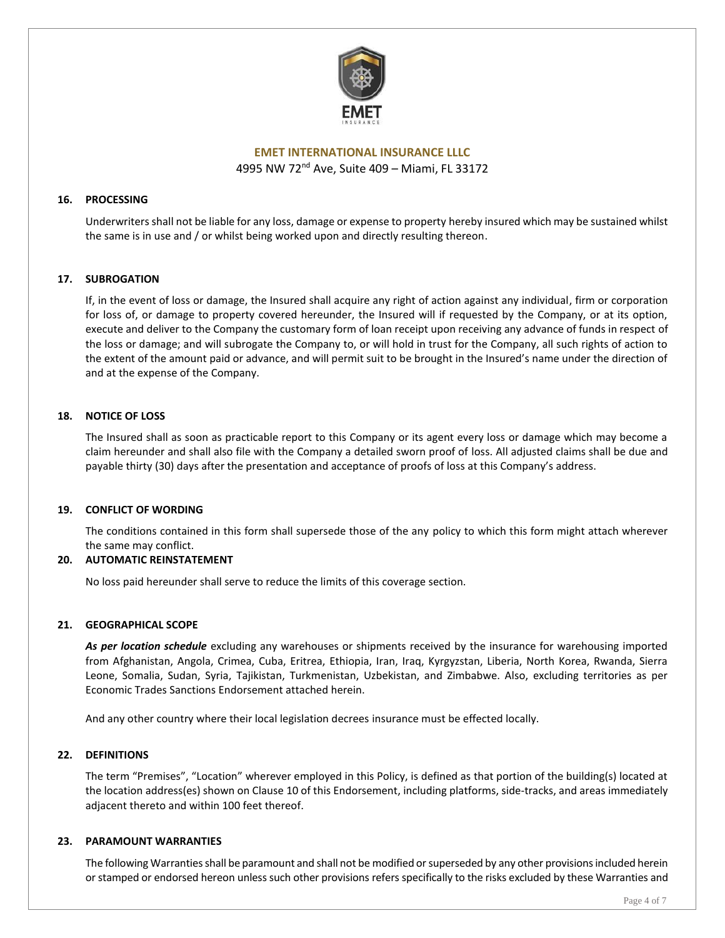

# **16. PROCESSING**

Underwriters shall not be liable for any loss, damage or expense to property hereby insured which may be sustained whilst the same is in use and / or whilst being worked upon and directly resulting thereon.

#### **17. SUBROGATION**

If, in the event of loss or damage, the Insured shall acquire any right of action against any individual, firm or corporation for loss of, or damage to property covered hereunder, the Insured will if requested by the Company, or at its option, execute and deliver to the Company the customary form of loan receipt upon receiving any advance of funds in respect of the loss or damage; and will subrogate the Company to, or will hold in trust for the Company, all such rights of action to the extent of the amount paid or advance, and will permit suit to be brought in the Insured's name under the direction of and at the expense of the Company.

### **18. NOTICE OF LOSS**

The Insured shall as soon as practicable report to this Company or its agent every loss or damage which may become a claim hereunder and shall also file with the Company a detailed sworn proof of loss. All adjusted claims shall be due and payable thirty (30) days after the presentation and acceptance of proofs of loss at this Company's address.

#### **19. CONFLICT OF WORDING**

The conditions contained in this form shall supersede those of the any policy to which this form might attach wherever the same may conflict.

# **20. AUTOMATIC REINSTATEMENT**

No loss paid hereunder shall serve to reduce the limits of this coverage section.

#### **21. GEOGRAPHICAL SCOPE**

*As per location schedule* excluding any warehouses or shipments received by the insurance for warehousing imported from Afghanistan, Angola, Crimea, Cuba, Eritrea, Ethiopia, Iran, Iraq, Kyrgyzstan, Liberia, North Korea, Rwanda, Sierra Leone, Somalia, Sudan, Syria, Tajikistan, Turkmenistan, Uzbekistan, and Zimbabwe. Also, excluding territories as per Economic Trades Sanctions Endorsement attached herein.

And any other country where their local legislation decrees insurance must be effected locally.

#### **22. DEFINITIONS**

The term "Premises", "Location" wherever employed in this Policy, is defined as that portion of the building(s) located at the location address(es) shown on Clause 10 of this Endorsement, including platforms, side-tracks, and areas immediately adjacent thereto and within 100 feet thereof.

#### **23. PARAMOUNT WARRANTIES**

The following Warranties shall be paramount and shall not be modified or superseded by any other provisions included herein or stamped or endorsed hereon unless such other provisions refers specifically to the risks excluded by these Warranties and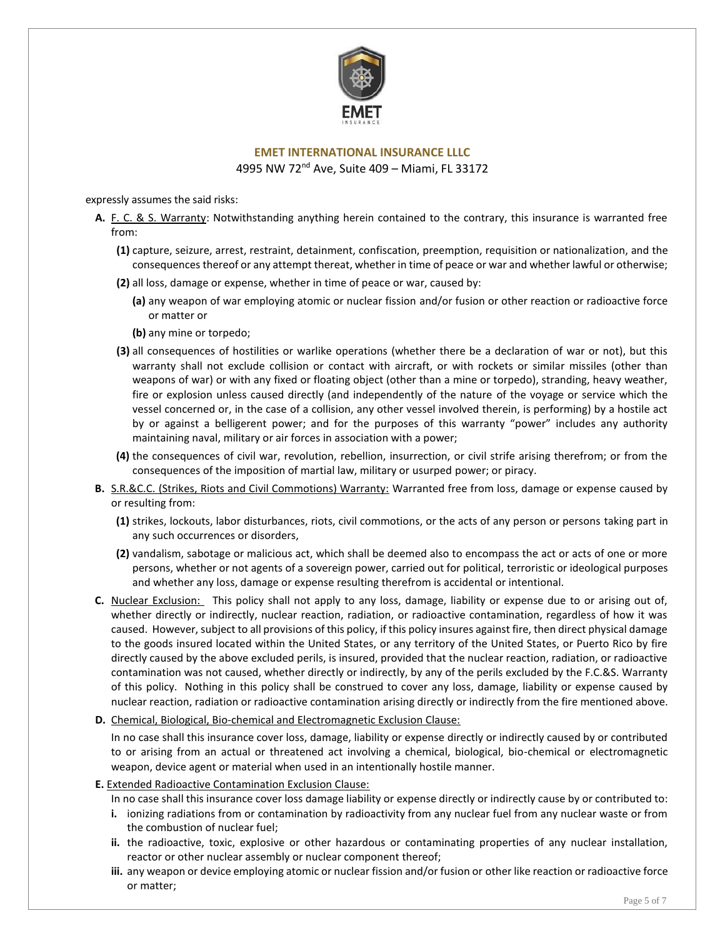

# **EMET INTERNATIONAL INSURANCE LLLC**

4995 NW 72nd Ave, Suite 409 – Miami, FL 33172

expressly assumes the said risks:

- **A.** F. C. & S. Warranty: Notwithstanding anything herein contained to the contrary, this insurance is warranted free from:
	- **(1)** capture, seizure, arrest, restraint, detainment, confiscation, preemption, requisition or nationalization, and the consequences thereof or any attempt thereat, whether in time of peace or war and whether lawful or otherwise;
	- **(2)** all loss, damage or expense, whether in time of peace or war, caused by:
		- **(a)** any weapon of war employing atomic or nuclear fission and/or fusion or other reaction or radioactive force or matter or
		- **(b)** any mine or torpedo;
	- **(3)** all consequences of hostilities or warlike operations (whether there be a declaration of war or not), but this warranty shall not exclude collision or contact with aircraft, or with rockets or similar missiles (other than weapons of war) or with any fixed or floating object (other than a mine or torpedo), stranding, heavy weather, fire or explosion unless caused directly (and independently of the nature of the voyage or service which the vessel concerned or, in the case of a collision, any other vessel involved therein, is performing) by a hostile act by or against a belligerent power; and for the purposes of this warranty "power" includes any authority maintaining naval, military or air forces in association with a power;
	- **(4)** the consequences of civil war, revolution, rebellion, insurrection, or civil strife arising therefrom; or from the consequences of the imposition of martial law, military or usurped power; or piracy.
- **B.** S.R.&C.C. (Strikes, Riots and Civil Commotions) Warranty: Warranted free from loss, damage or expense caused by or resulting from:
	- **(1)** strikes, lockouts, labor disturbances, riots, civil commotions, or the acts of any person or persons taking part in any such occurrences or disorders,
	- **(2)** vandalism, sabotage or malicious act, which shall be deemed also to encompass the act or acts of one or more persons, whether or not agents of a sovereign power, carried out for political, terroristic or ideological purposes and whether any loss, damage or expense resulting therefrom is accidental or intentional.
- **C.** Nuclear Exclusion: This policy shall not apply to any loss, damage, liability or expense due to or arising out of, whether directly or indirectly, nuclear reaction, radiation, or radioactive contamination, regardless of how it was caused. However, subject to all provisions of this policy, if this policy insures against fire, then direct physical damage to the goods insured located within the United States, or any territory of the United States, or Puerto Rico by fire directly caused by the above excluded perils, is insured, provided that the nuclear reaction, radiation, or radioactive contamination was not caused, whether directly or indirectly, by any of the perils excluded by the F.C.&S. Warranty of this policy. Nothing in this policy shall be construed to cover any loss, damage, liability or expense caused by nuclear reaction, radiation or radioactive contamination arising directly or indirectly from the fire mentioned above.

#### **D.** Chemical, Biological, Bio-chemical and Electromagnetic Exclusion Clause:

In no case shall this insurance cover loss, damage, liability or expense directly or indirectly caused by or contributed to or arising from an actual or threatened act involving a chemical, biological, bio-chemical or electromagnetic weapon, device agent or material when used in an intentionally hostile manner.

# **E.** Extended Radioactive Contamination Exclusion Clause:

In no case shall this insurance cover loss damage liability or expense directly or indirectly cause by or contributed to:

- **i.** ionizing radiations from or contamination by radioactivity from any nuclear fuel from any nuclear waste or from the combustion of nuclear fuel;
- **ii.** the radioactive, toxic, explosive or other hazardous or contaminating properties of any nuclear installation, reactor or other nuclear assembly or nuclear component thereof;
- **iii.** any weapon or device employing atomic or nuclear fission and/or fusion or other like reaction or radioactive force or matter;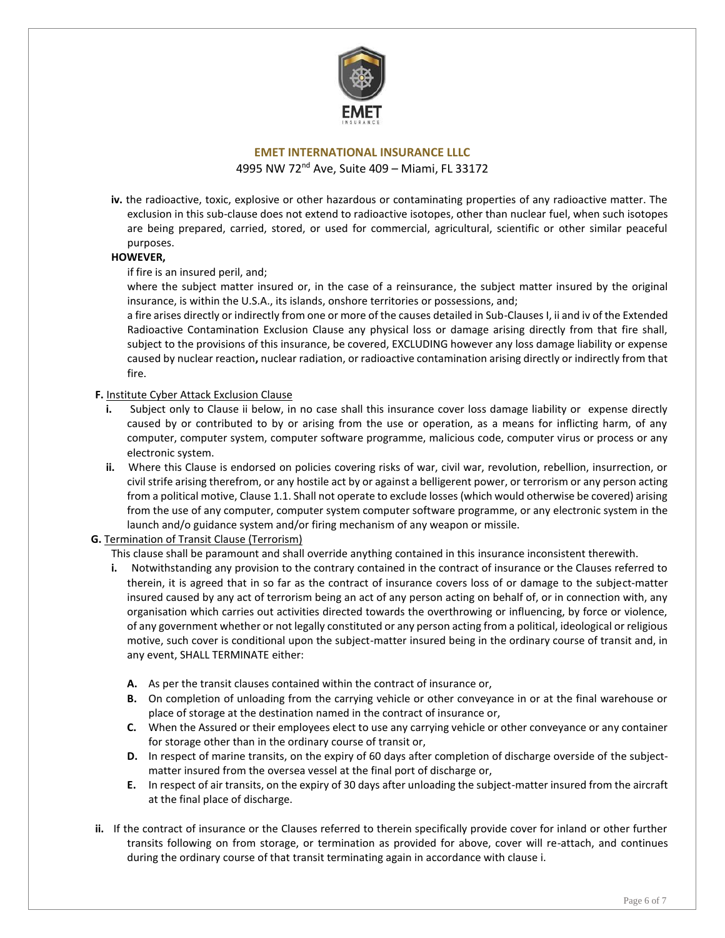

**iv.** the radioactive, toxic, explosive or other hazardous or contaminating properties of any radioactive matter. The exclusion in this sub-clause does not extend to radioactive isotopes, other than nuclear fuel, when such isotopes are being prepared, carried, stored, or used for commercial, agricultural, scientific or other similar peaceful purposes.

# **HOWEVER,**

#### if fire is an insured peril, and;

where the subject matter insured or, in the case of a reinsurance, the subject matter insured by the original insurance, is within the U.S.A., its islands, onshore territories or possessions, and;

a fire arises directly or indirectly from one or more of the causes detailed in Sub-Clauses I, ii and iv of the Extended Radioactive Contamination Exclusion Clause any physical loss or damage arising directly from that fire shall, subject to the provisions of this insurance, be covered, EXCLUDING however any loss damage liability or expense caused by nuclear reaction**,** nuclear radiation, or radioactive contamination arising directly or indirectly from that fire.

#### **F.** Institute Cyber Attack Exclusion Clause

- Subject only to Clause ii below, in no case shall this insurance cover loss damage liability or expense directly caused by or contributed to by or arising from the use or operation, as a means for inflicting harm, of any computer, computer system, computer software programme, malicious code, computer virus or process or any electronic system.
- **ii.** Where this Clause is endorsed on policies covering risks of war, civil war, revolution, rebellion, insurrection, or civil strife arising therefrom, or any hostile act by or against a belligerent power, or terrorism or any person acting from a political motive, Clause 1.1. Shall not operate to exclude losses (which would otherwise be covered) arising from the use of any computer, computer system computer software programme, or any electronic system in the launch and/o guidance system and/or firing mechanism of any weapon or missile.

# **G.** Termination of Transit Clause (Terrorism)

This clause shall be paramount and shall override anything contained in this insurance inconsistent therewith.

- **i.** Notwithstanding any provision to the contrary contained in the contract of insurance or the Clauses referred to therein, it is agreed that in so far as the contract of insurance covers loss of or damage to the subject-matter insured caused by any act of terrorism being an act of any person acting on behalf of, or in connection with, any organisation which carries out activities directed towards the overthrowing or influencing, by force or violence, of any government whether or not legally constituted or any person acting from a political, ideological or religious motive, such cover is conditional upon the subject-matter insured being in the ordinary course of transit and, in any event, SHALL TERMINATE either:
	- **A.** As per the transit clauses contained within the contract of insurance or,
	- **B.** On completion of unloading from the carrying vehicle or other conveyance in or at the final warehouse or place of storage at the destination named in the contract of insurance or,
	- **C.** When the Assured or their employees elect to use any carrying vehicle or other conveyance or any container for storage other than in the ordinary course of transit or,
	- **D.** In respect of marine transits, on the expiry of 60 days after completion of discharge overside of the subjectmatter insured from the oversea vessel at the final port of discharge or,
	- **E.** In respect of air transits, on the expiry of 30 days after unloading the subject-matter insured from the aircraft at the final place of discharge.
- **ii.** If the contract of insurance or the Clauses referred to therein specifically provide cover for inland or other further transits following on from storage, or termination as provided for above, cover will re-attach, and continues during the ordinary course of that transit terminating again in accordance with clause i.